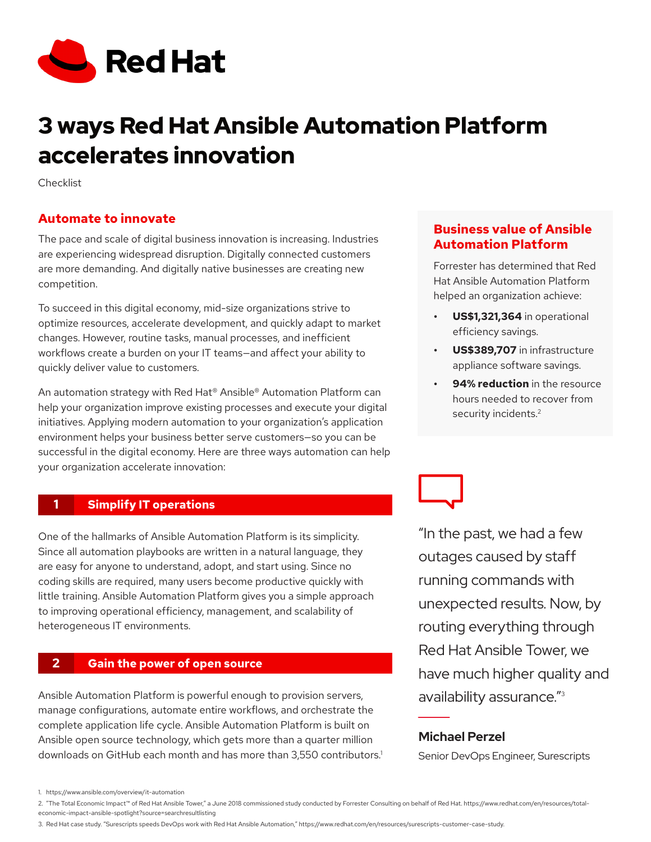

# 3 ways Red Hat Ansible Automation Platform accelerates innovation

**Checklist** 

# **Automate to innovate**

The pace and scale of digital business innovation is increasing. Industries are experiencing widespread disruption. Digitally connected customers are more demanding. And digitally native businesses are creating new competition.

To succeed in this digital economy, mid-size organizations strive to optimize resources, accelerate development, and quickly adapt to market changes. However, routine tasks, manual processes, and inefficient workflows create a burden on your IT teams—and affect your ability to quickly deliver value to customers.

An automation strategy with Red Hat® Ansible® Automation Platform can help your organization improve existing processes and execute your digital initiatives. Applying modern automation to your organization's application environment helps your business better serve customers—so you can be successful in the digital economy. Here are three ways automation can help your organization accelerate innovation:

# **1 Simplify IT operations**

One of the hallmarks of Ansible Automation Platform is its simplicity. Since all automation playbooks are written in a natural language, they are easy for anyone to understand, adopt, and start using. Since no coding skills are required, many users become productive quickly with little training. Ansible Automation Platform gives you a simple approach to improving operational efficiency, management, and scalability of heterogeneous IT environments.

## **2 Gain the power of open source**

Ansible Automation Platform is powerful enough to provision servers, manage configurations, automate entire workflows, and orchestrate the complete application life cycle. Ansible Automation Platform is built on Ansible open source technology, which gets more than a quarter million downloads on GitHub each month and has more than 3,550 contributors.<sup>1</sup>

# **Business value of Ansible Automation Platform**

Forrester has determined that Red Hat Ansible Automation Platform helped an organization achieve:

- **• US\$1,321,364** in operational efficiency savings.
- **• US\$389,707** in infrastructure appliance software savings.
- **94% reduction** in the resource hours needed to recover from security incidents.<sup>2</sup>

"In the past, we had a few outages caused by staff running commands with unexpected results. Now, by routing everything through Red Hat Ansible Tower, we have much higher quality and availability assurance."3

# **Michael Perzel**

Senior DevOps Engineer, Surescripts

<sup>1.</sup> https://www.ansible.com/overview/it-automation

<sup>2. &</sup>quot;The Total Economic Impact™ of Red Hat Ansible Tower," a June 2018 commissioned study conducted by Forrester Consulting on behalf of Red Hat. https://www.redhat.com/en/resources/totaleconomic-impact-ansible-spotlight?source=searchresultlisting

<sup>3.</sup> Red Hat case study. "Surescripts speeds DevOps work with Red Hat Ansible Automation," https://www.redhat.com/en/resources/surescripts-customer-case-study.